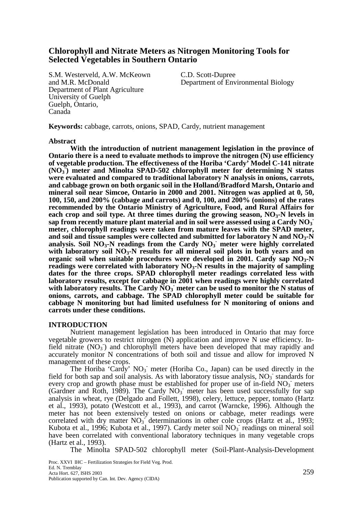# **Chlorophyll and Nitrate Meters as Nitrogen Monitoring Tools for Selected Vegetables in Southern Ontario**

S.M. Westerveld, A.W. McKeown C.D. Scott-Dupree Department of Plant Agriculture University of Guelph Guelph, Ontario, Canada

and M.R. McDonald Department of Environmental Biology

**Keywords:** cabbage, carrots, onions, SPAD, Cardy, nutrient management

## **Abstract**

 **With the introduction of nutrient management legislation in the province of Ontario there is a need to evaluate methods to improve the nitrogen (N) use efficiency of vegetable production. The effectiveness of the Horiba 'Cardy' Model C-141 nitrate (NO3 - ) meter and Minolta SPAD-502 chlorophyll meter for determining N status were evaluated and compared to traditional laboratory N analysis in onions, carrots, and cabbage grown on both organic soil in the Holland/Bradford Marsh, Ontario and mineral soil near Simcoe, Ontario in 2000 and 2001. Nitrogen was applied at 0, 50, 100, 150, and 200% (cabbage and carrots) and 0, 100, and 200% (onions) of the rates recommended by the Ontario Ministry of Agriculture, Food, and Rural Affairs for**  each crop and soil type. At three times during the growing season, NO<sub>3</sub>-N levels in sap from recently mature plant material and in soil were assessed using a Cardy NO<sub>3</sub> **meter, chlorophyll readings were taken from mature leaves with the SPAD meter,**  and soil and tissue samples were collected and submitted for laboratory N and NO<sub>3</sub>-N analysis. Soil NO<sub>3</sub>-N readings from the Cardy NO<sub>3</sub> meter were highly correlated with laboratory soil NO<sub>3</sub>-N results for all mineral soil plots in both years and on **organic soil when suitable procedures were developed in 2001. Cardy sap NO3-N readings were correlated with laboratory NO3-N results in the majority of sampling dates for the three crops. SPAD chlorophyll meter readings correlated less with laboratory results, except for cabbage in 2001 when readings were highly correlated**  with laboratory results. The Cardy NO<sub>3</sub> meter can be used to monitor the N status of **onions, carrots, and cabbage. The SPAD chlorophyll meter could be suitable for cabbage N monitoring but had limited usefulness for N monitoring of onions and carrots under these conditions.** 

# **INTRODUCTION**

Nutrient management legislation has been introduced in Ontario that may force vegetable growers to restrict nitrogen (N) application and improve N use efficiency. Infield nitrate (NO<sub>3</sub>) and chlorophyll meters have been developed that may rapidly and accurately monitor N concentrations of both soil and tissue and allow for improved N management of these crops.

The Horiba 'Cardy'  $NO_3$  meter (Horiba Co., Japan) can be used directly in the field for both sap and soil analysis. As with laboratory tissue analysis,  $NO_3$  standards for every crop and growth phase must be established for proper use of in-field NO<sub>3</sub> meters (Gardner and Roth, 1989). The Cardy  $NO<sub>3</sub>^-$  meter has been used successfully for sap analysis in wheat, rye (Delgado and Follett, 1998), celery, lettuce, pepper, tomato (Hartz et al., 1993), potato (Westcott et al., 1993), and carrot (Warncke, 1996). Although the meter has not been extensively tested on onions or cabbage, meter readings were correlated with dry matter  $NO_3$  determinations in other cole crops (Hartz et al., 1993; Kubota et al., 1996; Kubota et al., 1997). Cardy meter soil  $NO<sub>3</sub>$  readings on mineral soil have been correlated with conventional laboratory techniques in many vegetable crops (Hartz et al., 1993).

The Minolta SPAD-502 chlorophyll meter (Soil-Plant-Analysis-Development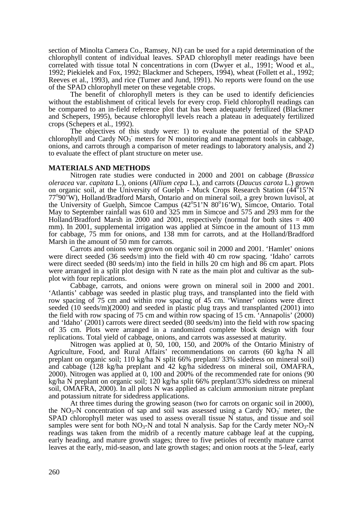section of Minolta Camera Co., Ramsey, NJ) can be used for a rapid determination of the chlorophyll content of individual leaves. SPAD chlorophyll meter readings have been correlated with tissue total N concentrations in corn (Dwyer et al., 1991; Wood et al., 1992; Piekielek and Fox, 1992; Blackmer and Schepers, 1994), wheat (Follett et al., 1992; Reeves et al., 1993), and rice (Turner and Jund, 1991). No reports were found on the use of the SPAD chlorophyll meter on these vegetable crops.

The benefit of chlorophyll meters is they can be used to identify deficiencies without the establishment of critical levels for every crop. Field chlorophyll readings can be compared to an in-field reference plot that has been adequately fertilized (Blackmer and Schepers, 1995), because chlorophyll levels reach a plateau in adequately fertilized crops (Schepers et al*.,* 1992).

The objectives of this study were: 1) to evaluate the potential of the SPAD chlorophyll and Cardy  $NO_3$  meters for N monitoring and management tools in cabbage, onions, and carrots through a comparison of meter readings to laboratory analysis, and 2) to evaluate the effect of plant structure on meter use.

# **MATERIALS AND METHODS**

 Nitrogen rate studies were conducted in 2000 and 2001 on cabbage (*Brassica oleracea* var. *capitata* L.), onions (*Allium cepa* L.), and carrots (*Daucus carota* L.) grown on organic soil, at the University of Guelph - Muck Crops Research Station  $(44^815'N)$ 77°90'W), Holland/Bradford Marsh, Ontario and on mineral soil, a grey brown luvisol, at the University of Guelph, Simcoe Campus (42°51'N 80°16'W), Simcoe, Ontario. Total May to September rainfall was 610 and 325 mm in Simcoe and 575 and 293 mm for the Holland/Bradford Marsh in 2000 and 2001, respectively (normal for both sites  $= 400$ ) mm). In 2001, supplemental irrigation was applied at Simcoe in the amount of 113 mm for cabbage, 75 mm for onions, and 138 mm for carrots, and at the Holland/Bradford Marsh in the amount of 50 mm for carrots.

Carrots and onions were grown on organic soil in 2000 and 2001. 'Hamlet' onions were direct seeded (36 seeds/m) into the field with 40 cm row spacing. 'Idaho' carrots were direct seeded (80 seeds/m) into the field in hills 20 cm high and 86 cm apart. Plots were arranged in a split plot design with N rate as the main plot and cultivar as the subplot with four replications.

 Cabbage, carrots, and onions were grown on mineral soil in 2000 and 2001. 'Atlantis' cabbage was seeded in plastic plug trays, and transplanted into the field with row spacing of 75 cm and within row spacing of 45 cm. 'Winner' onions were direct seeded (10 seeds/m)(2000) and seeded in plastic plug trays and transplanted (2001) into the field with row spacing of 75 cm and within row spacing of 15 cm. 'Annapolis' (2000) and 'Idaho' (2001) carrots were direct seeded (80 seeds/m) into the field with row spacing of 35 cm. Plots were arranged in a randomized complete block design with four replications. Total yield of cabbage, onions, and carrots was assessed at maturity.

 Nitrogen was applied at 0, 50, 100, 150, and 200% of the Ontario Ministry of Agriculture, Food, and Rural Affairs' recommendations on carrots (60 kg/ha N all preplant on organic soil; 110 kg/ha N split 66% preplant/ 33% sidedress on mineral soil) and cabbage (128 kg/ha preplant and 42 kg/ha sidedress on mineral soil, OMAFRA, 2000). Nitrogen was applied at 0, 100 and 200% of the recommended rate for onions (90 kg/ha N preplant on organic soil; 120 kg/ha split 66% preplant/33% sidedress on mineral soil, OMAFRA, 2000). In all plots N was applied as calcium ammonium nitrate preplant and potassium nitrate for sidedress applications.

 At three times during the growing season (two for carrots on organic soil in 2000), the NO<sub>3</sub>-N concentration of sap and soil was assessed using a Cardy  $NO_3^-$  meter, the SPAD chlorophyll meter was used to assess overall tissue N status, and tissue and soil samples were sent for both  $NO<sub>3</sub>$ -N and total N analysis. Sap for the Cardy meter  $NO<sub>3</sub>$ -N readings was taken from the midrib of a recently mature cabbage leaf at the cupping, early heading, and mature growth stages; three to five petioles of recently mature carrot leaves at the early, mid-season, and late growth stages; and onion roots at the 5-leaf, early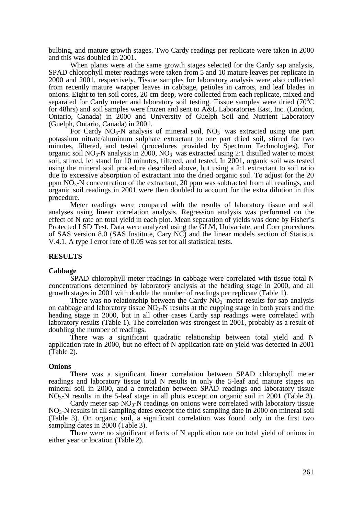bulbing, and mature growth stages. Two Cardy readings per replicate were taken in 2000 and this was doubled in 2001.

 When plants were at the same growth stages selected for the Cardy sap analysis, SPAD chlorophyll meter readings were taken from 5 and 10 mature leaves per replicate in 2000 and 2001, respectively. Tissue samples for laboratory analysis were also collected from recently mature wrapper leaves in cabbage, petioles in carrots, and leaf blades in onions. Eight to ten soil cores, 20 cm deep, were collected from each replicate, mixed and separated for Cardy meter and laboratory soil testing. Tissue samples were dried (70<sup>o</sup>C) for 48hrs) and soil samples were frozen and sent to A&L Laboratories East, Inc. (London, Ontario, Canada) in 2000 and University of Guelph Soil and Nutrient Laboratory (Guelph, Ontario, Canada) in 2001.

For Cardy  $NO<sub>3</sub>-N$  analysis of mineral soil,  $NO<sub>3</sub>$  was extracted using one part potassium nitrate/aluminum sulphate extractant to one part dried soil, stirred for two minutes, filtered, and tested (procedures provided by Spectrum Technologies). For organic soil  $NO_3$ -N analysis in  $2000$ ,  $NO_3$  was extracted using 2:1 distilled water to moist soil, stirred, let stand for 10 minutes, filtered, and tested. In 2001, organic soil was tested using the mineral soil procedure described above, but using a 2:1 extractant to soil ratio due to excessive absorption of extractant into the dried organic soil. To adjust for the 20 ppm  $NO<sub>3</sub>-N$  concentration of the extractant, 20 ppm was subtracted from all readings, and organic soil readings in 2001 were then doubled to account for the extra dilution in this procedure.

 Meter readings were compared with the results of laboratory tissue and soil analyses using linear correlation analysis. Regression analysis was performed on the effect of N rate on total yield in each plot. Mean separation of yields was done by Fisher's Protected LSD Test. Data were analyzed using the GLM, Univariate, and Corr procedures of SAS version 8.0 (SAS Institute, Cary NC) and the linear models section of Statistix V.4.1. A type I error rate of 0.05 was set for all statistical tests.

# **RESULTS**

#### **Cabbage**

 SPAD chlorophyll meter readings in cabbage were correlated with tissue total N concentrations determined by laboratory analysis at the heading stage in 2000, and all growth stages in 2001 with double the number of readings per replicate (Table 1).

There was no relationship between the Cardy  $\overline{NO_3}$  meter results for sap analysis on cabbage and laboratory tissue  $NO<sub>3</sub>-N$  results at the cupping stage in both years and the heading stage in 2000, but in all other cases Cardy sap readings were correlated with laboratory results (Table 1). The correlation was strongest in 2001, probably as a result of doubling the number of readings.

 There was a significant quadratic relationship between total yield and N application rate in 2000, but no effect of N application rate on yield was detected in 2001 (Table 2).

#### **Onions**

 There was a significant linear correlation between SPAD chlorophyll meter readings and laboratory tissue total N results in only the 5-leaf and mature stages on mineral soil in 2000, and a correlation between SPAD readings and laboratory tissue  $NO<sub>3</sub>-N$  results in the 5-leaf stage in all plots except on organic soil in 2001 (Table 3).

Cardy meter sap  $NO<sub>3</sub>-N$  readings on onions were correlated with laboratory tissue  $NO<sub>3</sub>-N$  results in all sampling dates except the third sampling date in 2000 on mineral soil (Table 3). On organic soil, a significant correlation was found only in the first two sampling dates in 2000 (Table 3).

 There were no significant effects of N application rate on total yield of onions in either year or location (Table 2).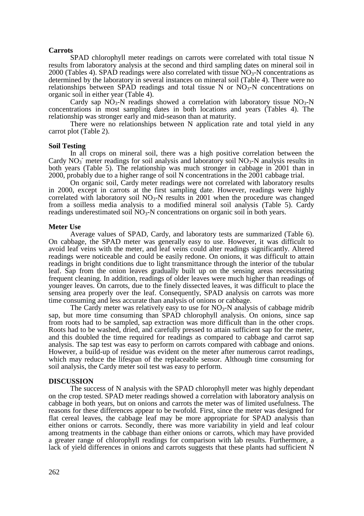# **Carrots**

SPAD chlorophyll meter readings on carrots were correlated with total tissue N results from laboratory analysis at the second and third sampling dates on mineral soil in 2000 (Tables 4). SPAD readings were also correlated with tissue  $NO<sub>3</sub>$ -N concentrations as determined by the laboratory in several instances on mineral soil (Table 4). There were no relationships between SPAD readings and total tissue N or  $NO<sub>3</sub>-N$  concentrations on organic soil in either year (Table 4).

Cardy sap  $N\dot{O}_3$ -N readings showed a correlation with laboratory tissue  $N\dot{O}_3$ -N concentrations in most sampling dates in both locations and years (Tables 4). The relationship was stronger early and mid-season than at maturity.

 There were no relationships between N application rate and total yield in any carrot plot (Table 2).

## **Soil Testing**

In all crops on mineral soil, there was a high positive correlation between the Cardy  $NO_3$ <sup>-</sup> meter readings for soil analysis and laboratory soil  $NO_3$ -N analysis results in both years (Table 5). The relationship was much stronger in cabbage in 2001 than in 2000, probably due to a higher range of soil N concentrations in the 2001 cabbage trial.

 On organic soil, Cardy meter readings were not correlated with laboratory results in 2000, except in carrots at the first sampling date. However, readings were highly correlated with laboratory soil  $NO<sub>3</sub>-N$  results in 2001 when the procedure was changed from a soilless media analysis to a modified mineral soil analysis (Table 5). Cardy readings underestimated soil  $NO<sub>3</sub>$ -N concentrations on organic soil in both years.

#### **Meter Use**

 Average values of SPAD, Cardy, and laboratory tests are summarized (Table 6). On cabbage, the SPAD meter was generally easy to use. However, it was difficult to avoid leaf veins with the meter, and leaf veins could alter readings significantly. Altered readings were noticeable and could be easily redone. On onions, it was difficult to attain readings in bright conditions due to light transmittance through the interior of the tubular leaf. Sap from the onion leaves gradually built up on the sensing areas necessitating frequent cleaning. In addition, readings of older leaves were much higher than readings of younger leaves. On carrots, due to the finely dissected leaves, it was difficult to place the sensing area properly over the leaf. Consequently, SPAD analysis on carrots was more time consuming and less accurate than analysis of onions or cabbage.

The Cardy meter was relatively easy to use for  $NO<sub>3</sub>-N$  analysis of cabbage midrib sap, but more time consuming than SPAD chlorophyll analysis. On onions, since sap from roots had to be sampled, sap extraction was more difficult than in the other crops. Roots had to be washed, dried, and carefully pressed to attain sufficient sap for the meter, and this doubled the time required for readings as compared to cabbage and carrot sap analysis. The sap test was easy to perform on carrots compared with cabbage and onions. However, a build-up of residue was evident on the meter after numerous carrot readings, which may reduce the lifespan of the replaceable sensor. Although time consuming for soil analysis, the Cardy meter soil test was easy to perform.

# **DISCUSSION**

 The success of N analysis with the SPAD chlorophyll meter was highly dependant on the crop tested. SPAD meter readings showed a correlation with laboratory analysis on cabbage in both years, but on onions and carrots the meter was of limited usefulness. The reasons for these differences appear to be twofold. First, since the meter was designed for flat cereal leaves, the cabbage leaf may be more appropriate for SPAD analysis than either onions or carrots. Secondly, there was more variability in yield and leaf colour among treatments in the cabbage than either onions or carrots, which may have provided a greater range of chlorophyll readings for comparison with lab results. Furthermore, a lack of yield differences in onions and carrots suggests that these plants had sufficient N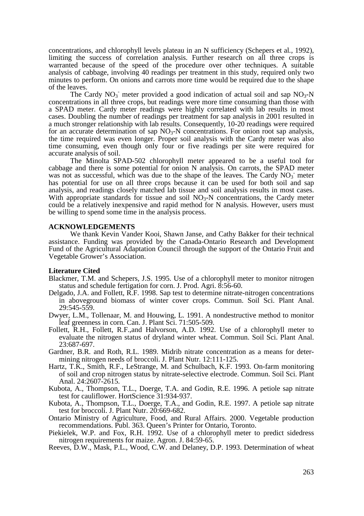concentrations, and chlorophyll levels plateau in an N sufficiency (Schepers et al*.,* 1992), limiting the success of correlation analysis. Further research on all three crops is warranted because of the speed of the procedure over other techniques. A suitable analysis of cabbage, involving 40 readings per treatment in this study, required only two minutes to perform. On onions and carrots more time would be required due to the shape of the leaves.

The Cardy  $NO_3$  meter provided a good indication of actual soil and sap  $NO_3$ -N concentrations in all three crops, but readings were more time consuming than those with a SPAD meter. Cardy meter readings were highly correlated with lab results in most cases. Doubling the number of readings per treatment for sap analysis in 2001 resulted in a much stronger relationship with lab results. Consequently, 10-20 readings were required for an accurate determination of sap  $NO<sub>3</sub>-N$  concentrations. For onion root sap analysis, the time required was even longer. Proper soil analysis with the Cardy meter was also time consuming, even though only four or five readings per site were required for accurate analysis of soil.

 The Minolta SPAD-502 chlorophyll meter appeared to be a useful tool for cabbage and there is some potential for onion N analysis. On carrots, the SPAD meter was not as successful, which was due to the shape of the leaves. The Cardy  $NO<sub>3</sub>$  meter has potential for use on all three crops because it can be used for both soil and sap analysis, and readings closely matched lab tissue and soil analysis results in most cases. With appropriate standards for tissue and soil  $NO<sub>3</sub>-N$  concentrations, the Cardy meter could be a relatively inexpensive and rapid method for N analysis. However, users must be willing to spend some time in the analysis process.

## **ACKNOWLEDGEMENTS**

We thank Kevin Vander Kooi, Shawn Janse, and Cathy Bakker for their technical assistance. Funding was provided by the Canada-Ontario Research and Development Fund of the Agricultural Adaptation Council through the support of the Ontario Fruit and Vegetable Grower's Association.

## **Literature Cited**

- Blackmer, T.M. and Schepers, J.S. 1995. Use of a chlorophyll meter to monitor nitrogen status and schedule fertigation for corn. J. Prod. Agri. 8:56-60.
- Delgado, J.A. and Follett, R.F. 1998. Sap test to determine nitrate-nitrogen concentrations in aboveground biomass of winter cover crops. Commun. Soil Sci. Plant Anal. 29:545-559.
- Dwyer, L.M., Tollenaar, M. and Houwing, L. 1991. A nondestructive method to monitor leaf greenness in corn. Can. J. Plant Sci. 71:505-509.
- Follett, R.H., Follett, R.F.,and Halvorson, A.D. 1992. Use of a chlorophyll meter to evaluate the nitrogen status of dryland winter wheat. Commun. Soil Sci. Plant Anal. 23:687-697.
- Gardner, B.R. and Roth, R.L. 1989. Midrib nitrate concentration as a means for determining nitrogen needs of broccoli. J. Plant Nutr. 12:111-125.
- Hartz, T.K., Smith, R.F., LeStrange, M. and Schulbach, K.F. 1993. On-farm monitoring of soil and crop nitrogen status by nitrate-selective electrode. Commun. Soil Sci. Plant Anal. 24:2607-2615.
- Kubota, A., Thompson, T.L., Doerge, T.A. and Godin, R.E. 1996. A petiole sap nitrate test for cauliflower. HortScience 31:934-937.
- Kubota, A., Thompson, T.L., Doerge, T.A., and Godin, R.E. 1997. A petiole sap nitrate test for broccoli. J. Plant Nutr. 20:669-682.
- Ontario Ministry of Agriculture, Food, and Rural Affairs. 2000. Vegetable production recommendations. Publ. 363. Queen's Printer for Ontario, Toronto.
- Piekielek, W.P. and Fox, R.H. 1992. Use of a chlorophyll meter to predict sidedress nitrogen requirements for maize. Agron. J. 84:59-65.
- Reeves, D.W., Mask, P.L., Wood, C.W. and Delaney, D.P. 1993. Determination of wheat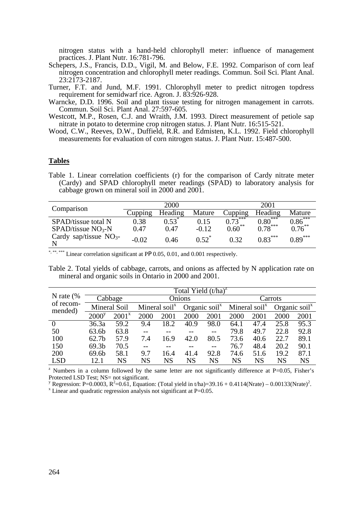nitrogen status with a hand-held chlorophyll meter: influence of management practices. J. Plant Nutr. 16:781-796.

- Schepers, J.S., Francis, D.D., Vigil, M. and Below, F.E. 1992. Comparison of corn leaf nitrogen concentration and chlorophyll meter readings. Commun. Soil Sci. Plant Anal. 23:2173-2187.
- Turner, F.T. and Jund, M.F. 1991. Chlorophyll meter to predict nitrogen topdress requirement for semidwarf rice. Agron. J. 83:926-928.
- Warncke, D.D. 1996. Soil and plant tissue testing for nitrogen management in carrots. Commun. Soil Sci. Plant Anal. 27:597-605.
- Westcott, M.P., Rosen, C.J. and Wraith, J.M. 1993. Direct measurement of petiole sap nitrate in potato to determine crop nitrogen status. J. Plant Nutr. 16:515-521.
- Wood, C.W., Reeves, D.W., Duffield, R.R. and Edmisten, K.L. 1992. Field chlorophyll measurements for evaluation of corn nitrogen status. J. Plant Nutr. 15:487-500.

# **Tables**

Table 1. Linear correlation coefficients (r) for the comparison of Cardy nitrate meter (Cardy) and SPAD chlorophyll meter readings (SPAD) to laboratory analysis for cabbage grown on mineral soil in 2000 and 2001.

| Comparison               |         | 2000    |          | 2001        |           |           |  |
|--------------------------|---------|---------|----------|-------------|-----------|-----------|--|
|                          | Cupping | Heading | Mature   | Cupping     | Heading   | Mature    |  |
| SPAD/tissue total N      | 0.38    | 0.53    | 0.15     | ***<br>0.73 | $0.80***$ | $0.86***$ |  |
| $SPAD/tissue NO3-N$      | 0.47    | 0.47    | $-0.12$  | $0.60***$   | $0.78***$ | $0.76***$ |  |
| Cardy sap/tissue $NO3$ - | $-0.02$ | 0.46    | $0.52^*$ | 0.32        | $0.83***$ | $0.89***$ |  |

\*, \*\*, \*\*\* Linear correlation significant at PP 0.05, 0.01, and 0.001 respectively.

Table 2. Total yields of cabbage, carrots, and onions as affected by N application rate on mineral and organic soils in Ontario in 2000 and 2001.

|                                                                                                                      |                   | Total Yield $(t/ha)^2$ |                   |           |                                        |           |                                        |           |                                        |      |  |
|----------------------------------------------------------------------------------------------------------------------|-------------------|------------------------|-------------------|-----------|----------------------------------------|-----------|----------------------------------------|-----------|----------------------------------------|------|--|
| N rate $(\%$<br>of recom-<br>mended)                                                                                 |                   | Cabbage                |                   | Onions    |                                        |           |                                        | Carrots   |                                        |      |  |
|                                                                                                                      |                   | Mineral Soil           | Mineral soil $^x$ |           | Organic soil <sup><math>x</math></sup> |           | Mineral soil <sup><math>x</math></sup> |           | Organic soil <sup><math>x</math></sup> |      |  |
|                                                                                                                      | 2000 <sup>y</sup> | $2001^x$               | 2000              | 2001      | 2000                                   | 2001      | 2000                                   | 2001      | 2000                                   | 2001 |  |
| $\theta$                                                                                                             | 36.3a             | 59.2                   | 9.4               | 18.2      | 40.9                                   | 98.0      | 64.1                                   | 47.4      | 25.8                                   | 95.3 |  |
| 50                                                                                                                   | 63.6b             | 63.8                   |                   |           |                                        |           | 79.8                                   | 49.7      | 22.8                                   | 92.8 |  |
| 100                                                                                                                  | 62.7 <sub>b</sub> | 57.9                   | 7.4               | 16.9      | 42.0                                   | 80.5      | 73.6                                   | 40.6      | 22.7                                   | 89.1 |  |
| 150                                                                                                                  | 69.3 <sub>b</sub> | 70.5                   |                   |           |                                        |           | 76.7                                   | 48.4      | 20.2                                   | 90.1 |  |
| 200                                                                                                                  | 69.6b             | 58.1                   | 9.7               | 16.4      | 41.4                                   | 92.8      | 74.6                                   | 51.6      | 19.2                                   | 87.1 |  |
| <b>LSD</b>                                                                                                           | 12.1              | NS                     | NS                | <b>NS</b> | <b>NS</b>                              | <b>NS</b> | <b>NS</b>                              | <b>NS</b> | <b>NS</b>                              | NS   |  |
| <sup>2</sup> Numbers in a column followed by the same letter are not significantly difference at $P=0.05$ , Fisher's |                   |                        |                   |           |                                        |           |                                        |           |                                        |      |  |

Protected LSD Test; NS= not significant.

<sup>y</sup> Regression: P=0.0003, R<sup>2</sup>=0.61, Equation: (Total yield in t/ha)=39.16 + 0.4114(Nrate) – 0.00133(Nrate)<sup>2</sup>.

 $x$  Linear and quadratic regression analysis not significant at P=0.05.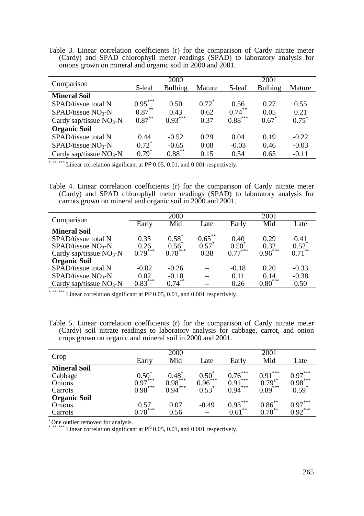Table 3. Linear correlation coefficients (r) for the comparison of Cardy nitrate meter (Cardy) and SPAD chlorophyll meter readings (SPAD) to laboratory analysis for onions grown on mineral and organic soil in 2000 and 2001.

| Comparison               |           | 2000           |          | 2001      |                |          |  |
|--------------------------|-----------|----------------|----------|-----------|----------------|----------|--|
|                          | 5-leaf    | <b>Bulbing</b> | Mature   | 5-leaf    | <b>Bulbing</b> | Mature   |  |
| <b>Mineral Soil</b>      |           |                |          |           |                |          |  |
| SPAD/tissue total N      | $0.95***$ | 0.50           | $0.72^*$ | 0.56      | 0.27           | 0.55     |  |
| $SPAD/tissue NO3-N$      | $0.87***$ | 0.43           | 0.62     | $0.74***$ | 0.05           | 0.21     |  |
| Cardy sap/tissue $NO3-N$ | $0.87***$ | $0.93***$      | 0.37     | $0.88***$ | $0.67^*$       | $0.75^*$ |  |
| <b>Organic Soil</b>      |           |                |          |           |                |          |  |
| SPAD/tissue total N      | 0.44      | $-0.52$        | 0.29     | 0.04      | 0.19           | $-0.22$  |  |
| $SPAD/tissue NO3-N$      | $0.72^*$  | $-0.65$        | 0.08     | $-0.03$   | 0.46           | $-0.03$  |  |
| Cardy sap/tissue $NO3-N$ | $0.79*$   | $0.88$ **      | 0.15     | 0.54      | 0.65           | $-0.11$  |  |

\*, \*\*\*, \*\*\* Linear correlation significant at PP 0.05, 0.01, and 0.001 respectively.

Table 4. Linear correlation coefficients (r) for the comparison of Cardy nitrate meter (Cardy) and SPAD chlorophyll meter readings (SPAD) to laboratory analysis for carrots grown on mineral and organic soil in 2000 and 2001.

| Comparison                |             | 2000             |           | 2001                 |           |               |  |
|---------------------------|-------------|------------------|-----------|----------------------|-----------|---------------|--|
|                           | Early       | Mid              | Late      | Early                | Mid       | Late          |  |
| <b>Mineral Soil</b>       |             |                  |           |                      |           |               |  |
| SPAD/tissue total N       | 0.35        | $0.58^*$         | $0.65***$ | 0.40                 | 0.29      | 0.41          |  |
| $SPAD/tissue NO3-N$       | 0.26        | $0.56^{\degree}$ | $0.57$ *  | $0.50^{^{\circ}}$    | 0.32      | $0.52$ *      |  |
| Cardy sap/tissue $NO3-N$  | ***<br>0.79 | $0.78$ ***       | 0.38      | $0.77^{\tilde{*}**}$ | 0.96      | $\xi$<br>0.71 |  |
| <b>Organic Soil</b>       |             |                  |           |                      |           |               |  |
| SPAD/tissue total N       | $-0.02$     | $-0.26$          |           | $-0.18$              | 0.20      | $-0.33$       |  |
| $SPAD/tissue NO3-N$       | 0.02        | $-0.18$          |           | 0.11                 | 0.14      | $-0.38$       |  |
| Cardy sap/tissue $NO_3-N$ | $0.83$ ***  | $0.74***$        | --        | 0.26                 | $0.80***$ | 0.50          |  |
|                           |             |                  |           |                      |           |               |  |

\*, \*\*\*, \*\*\* Linear correlation significant at PP 0.05, 0.01, and 0.001 respectively.

| Table 5. Linear correlation coefficients (r) for the comparison of Cardy nitrate meter |                                                                                     |  |  |  |
|----------------------------------------------------------------------------------------|-------------------------------------------------------------------------------------|--|--|--|
|                                                                                        | (Cardy) soil nitrate readings to laboratory analysis for cabbage, carrot, and onion |  |  |  |
| crops grown on organic and mineral soil in 2000 and 2001.                              |                                                                                     |  |  |  |

| Crop                |                          | 2000       |                     | 2001                |             |            |  |
|---------------------|--------------------------|------------|---------------------|---------------------|-------------|------------|--|
|                     | Early                    | Mid        | Late                | Early               | Mid         | Late       |  |
| <b>Mineral Soil</b> |                          |            |                     |                     |             |            |  |
| Cabbage             | $0.50^*$<br>$0.97^{***}$ | $0.48$ *** | 0.50                | $0.76***$           | ***<br>0.91 | $0.97***$  |  |
| Onions              |                          |            | 0.96                | <b>_***</b><br>0.91 | $0.79^{z*}$ | $0.98***$  |  |
| Carrots             | $0.98***$                | $0.94***$  | $0.53$ <sup>*</sup> | $0.94***$           | $0.89***$   | $0.59$ *   |  |
| <b>Organic Soil</b> |                          |            |                     |                     |             |            |  |
| Onions              | $0.57$<br>.78***         | 0.07       | $-0.49$             | $0.93***$           | $0.86^{**}$ | $0.97***$  |  |
| Carrots             |                          | 0.56       | $- -$               | **<br>0.61          | 」**<br>0.70 | $0.92$ *** |  |

 $z^2$  One outlier removed for analysis.

\*, \*\*\* Linear correlation significant at PP 0.05, 0.01, and 0.001 respectively.